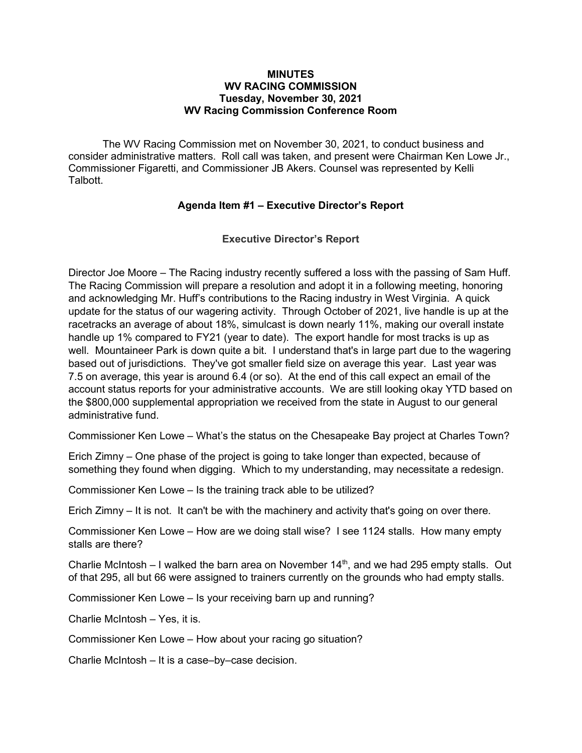#### MINUTES WV RACING COMMISSION Tuesday, November 30, 2021 WV Racing Commission Conference Room

The WV Racing Commission met on November 30, 2021, to conduct business and consider administrative matters. Roll call was taken, and present were Chairman Ken Lowe Jr., Commissioner Figaretti, and Commissioner JB Akers. Counsel was represented by Kelli Talbott.

#### Agenda Item #1 – Executive Director's Report

Executive Director's Report

Director Joe Moore – The Racing industry recently suffered a loss with the passing of Sam Huff. The Racing Commission will prepare a resolution and adopt it in a following meeting, honoring and acknowledging Mr. Huff's contributions to the Racing industry in West Virginia. A quick update for the status of our wagering activity. Through October of 2021, live handle is up at the racetracks an average of about 18%, simulcast is down nearly 11%, making our overall instate handle up 1% compared to FY21 (year to date). The export handle for most tracks is up as well. Mountaineer Park is down quite a bit. I understand that's in large part due to the wagering based out of jurisdictions. They've got smaller field size on average this year. Last year was 7.5 on average, this year is around 6.4 (or so). At the end of this call expect an email of the account status reports for your administrative accounts. We are still looking okay YTD based on the \$800,000 supplemental appropriation we received from the state in August to our general administrative fund.

Commissioner Ken Lowe – What's the status on the Chesapeake Bay project at Charles Town?

Erich Zimny – One phase of the project is going to take longer than expected, because of something they found when digging. Which to my understanding, may necessitate a redesign.

Commissioner Ken Lowe – Is the training track able to be utilized?

Erich Zimny – It is not. It can't be with the machinery and activity that's going on over there.

Commissioner Ken Lowe – How are we doing stall wise? I see 1124 stalls. How many empty stalls are there?

Charlie McIntosh – I walked the barn area on November  $14<sup>th</sup>$ , and we had 295 empty stalls. Out of that 295, all but 66 were assigned to trainers currently on the grounds who had empty stalls.

Commissioner Ken Lowe – Is your receiving barn up and running?

Charlie McIntosh – Yes, it is.

Commissioner Ken Lowe – How about your racing go situation?

Charlie McIntosh – It is a case–by–case decision.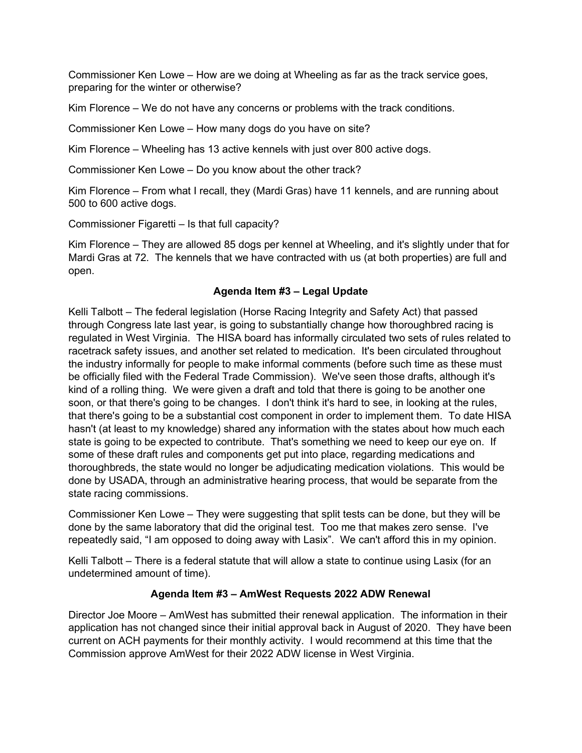Commissioner Ken Lowe – How are we doing at Wheeling as far as the track service goes, preparing for the winter or otherwise?

Kim Florence – We do not have any concerns or problems with the track conditions.

Commissioner Ken Lowe – How many dogs do you have on site?

Kim Florence – Wheeling has 13 active kennels with just over 800 active dogs.

Commissioner Ken Lowe – Do you know about the other track?

Kim Florence – From what I recall, they (Mardi Gras) have 11 kennels, and are running about 500 to 600 active dogs.

Commissioner Figaretti – Is that full capacity?

Kim Florence – They are allowed 85 dogs per kennel at Wheeling, and it's slightly under that for Mardi Gras at 72. The kennels that we have contracted with us (at both properties) are full and open.

## Agenda Item #3 – Legal Update

Kelli Talbott – The federal legislation (Horse Racing Integrity and Safety Act) that passed through Congress late last year, is going to substantially change how thoroughbred racing is regulated in West Virginia. The HISA board has informally circulated two sets of rules related to racetrack safety issues, and another set related to medication. It's been circulated throughout the industry informally for people to make informal comments (before such time as these must be officially filed with the Federal Trade Commission). We've seen those drafts, although it's kind of a rolling thing. We were given a draft and told that there is going to be another one soon, or that there's going to be changes. I don't think it's hard to see, in looking at the rules, that there's going to be a substantial cost component in order to implement them. To date HISA hasn't (at least to my knowledge) shared any information with the states about how much each state is going to be expected to contribute. That's something we need to keep our eye on. If some of these draft rules and components get put into place, regarding medications and thoroughbreds, the state would no longer be adjudicating medication violations. This would be done by USADA, through an administrative hearing process, that would be separate from the state racing commissions.

Commissioner Ken Lowe – They were suggesting that split tests can be done, but they will be done by the same laboratory that did the original test. Too me that makes zero sense. I've repeatedly said, "I am opposed to doing away with Lasix". We can't afford this in my opinion.

Kelli Talbott – There is a federal statute that will allow a state to continue using Lasix (for an undetermined amount of time).

## Agenda Item #3 – AmWest Requests 2022 ADW Renewal

Director Joe Moore – AmWest has submitted their renewal application. The information in their application has not changed since their initial approval back in August of 2020. They have been current on ACH payments for their monthly activity. I would recommend at this time that the Commission approve AmWest for their 2022 ADW license in West Virginia.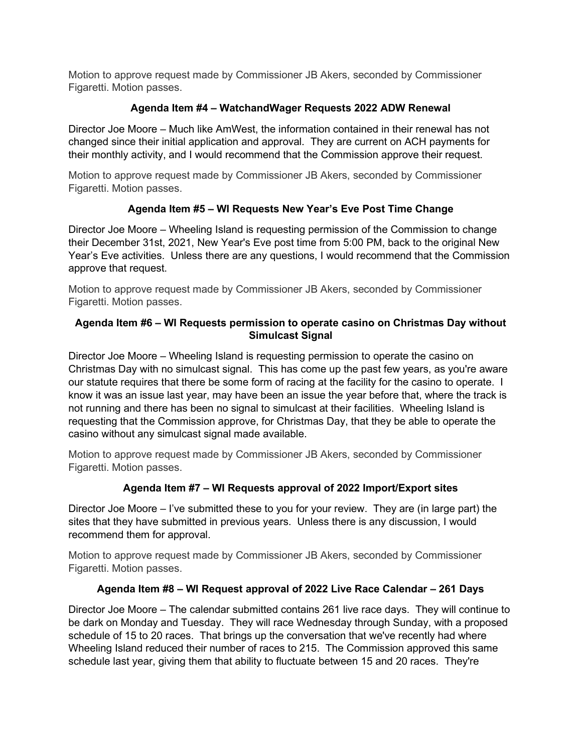Motion to approve request made by Commissioner JB Akers, seconded by Commissioner Figaretti. Motion passes.

## Agenda Item #4 – WatchandWager Requests 2022 ADW Renewal

Director Joe Moore – Much like AmWest, the information contained in their renewal has not changed since their initial application and approval. They are current on ACH payments for their monthly activity, and I would recommend that the Commission approve their request.

Motion to approve request made by Commissioner JB Akers, seconded by Commissioner Figaretti. Motion passes.

# Agenda Item #5 – WI Requests New Year's Eve Post Time Change

Director Joe Moore – Wheeling Island is requesting permission of the Commission to change their December 31st, 2021, New Year's Eve post time from 5:00 PM, back to the original New Year's Eve activities. Unless there are any questions, I would recommend that the Commission approve that request.

Motion to approve request made by Commissioner JB Akers, seconded by Commissioner Figaretti. Motion passes.

## Agenda Item #6 – WI Requests permission to operate casino on Christmas Day without Simulcast Signal

Director Joe Moore – Wheeling Island is requesting permission to operate the casino on Christmas Day with no simulcast signal. This has come up the past few years, as you're aware our statute requires that there be some form of racing at the facility for the casino to operate. I know it was an issue last year, may have been an issue the year before that, where the track is not running and there has been no signal to simulcast at their facilities. Wheeling Island is requesting that the Commission approve, for Christmas Day, that they be able to operate the casino without any simulcast signal made available.

Motion to approve request made by Commissioner JB Akers, seconded by Commissioner Figaretti. Motion passes.

# Agenda Item #7 – WI Requests approval of 2022 Import/Export sites

Director Joe Moore – I've submitted these to you for your review. They are (in large part) the sites that they have submitted in previous years. Unless there is any discussion, I would recommend them for approval.

Motion to approve request made by Commissioner JB Akers, seconded by Commissioner Figaretti. Motion passes.

## Agenda Item #8 – WI Request approval of 2022 Live Race Calendar – 261 Days

Director Joe Moore – The calendar submitted contains 261 live race days. They will continue to be dark on Monday and Tuesday. They will race Wednesday through Sunday, with a proposed schedule of 15 to 20 races. That brings up the conversation that we've recently had where Wheeling Island reduced their number of races to 215. The Commission approved this same schedule last year, giving them that ability to fluctuate between 15 and 20 races. They're